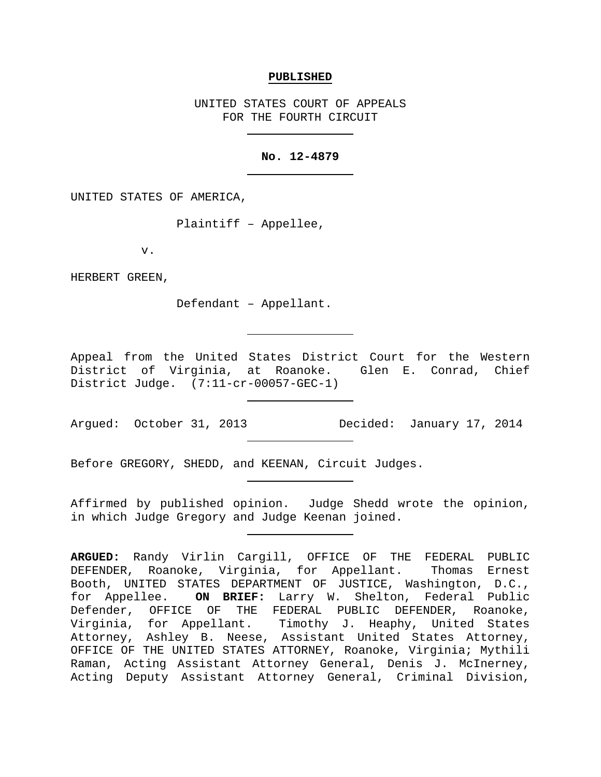#### **PUBLISHED**

UNITED STATES COURT OF APPEALS FOR THE FOURTH CIRCUIT

# **No. 12-4879**

UNITED STATES OF AMERICA,

Plaintiff – Appellee,

v.

HERBERT GREEN,

Defendant – Appellant.

Appeal from the United States District Court for the Western District of Virginia, at Roanoke. Glen E. Conrad, Chief District Judge. (7:11-cr-00057-GEC-1)

Argued: October 31, 2013 Decided: January 17, 2014

Before GREGORY, SHEDD, and KEENAN, Circuit Judges.

Affirmed by published opinion. Judge Shedd wrote the opinion, in which Judge Gregory and Judge Keenan joined.

**ARGUED:** Randy Virlin Cargill, OFFICE OF THE FEDERAL PUBLIC DEFENDER, Roanoke, Virginia, for Appellant. Thomas Ernest Booth, UNITED STATES DEPARTMENT OF JUSTICE, Washington, D.C., for Appellee. **ON BRIEF:** Larry W. Shelton, Federal Public Defender, OFFICE OF THE FEDERAL PUBLIC DEFENDER, Roanoke, Virginia, for Appellant. Timothy J. Heaphy, United States Attorney, Ashley B. Neese, Assistant United States Attorney, OFFICE OF THE UNITED STATES ATTORNEY, Roanoke, Virginia; Mythili Raman, Acting Assistant Attorney General, Denis J. McInerney, Acting Deputy Assistant Attorney General, Criminal Division,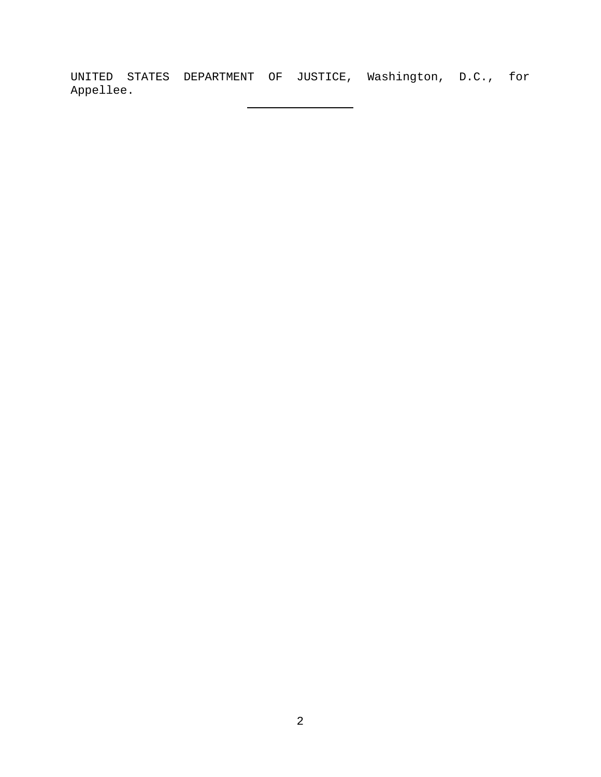UNITED STATES DEPARTMENT OF JUSTICE, Washington, D.C., for Appellee.

 $\overline{\phantom{0}}$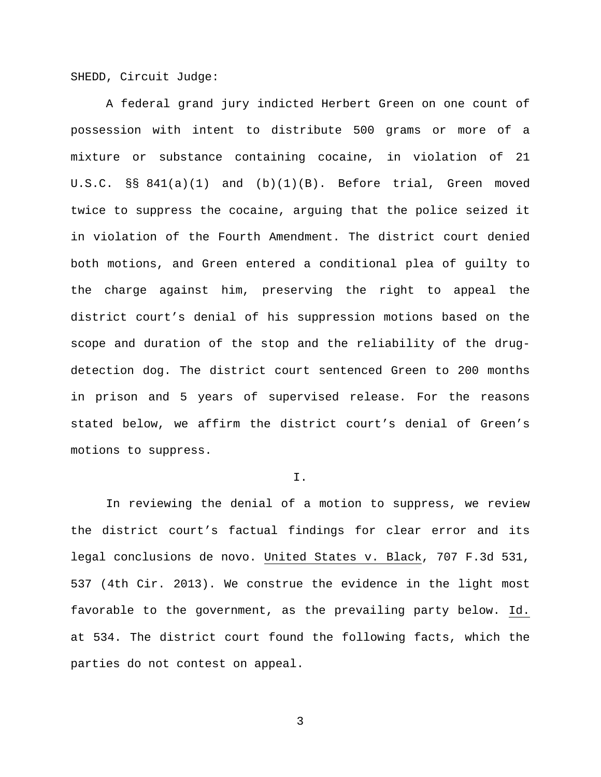SHEDD, Circuit Judge:

A federal grand jury indicted Herbert Green on one count of possession with intent to distribute 500 grams or more of a mixture or substance containing cocaine, in violation of 21 U.S.C. §§ 841(a)(1) and (b)(1)(B). Before trial, Green moved twice to suppress the cocaine, arguing that the police seized it in violation of the Fourth Amendment. The district court denied both motions, and Green entered a conditional plea of guilty to the charge against him, preserving the right to appeal the district court's denial of his suppression motions based on the scope and duration of the stop and the reliability of the drugdetection dog. The district court sentenced Green to 200 months in prison and 5 years of supervised release. For the reasons stated below, we affirm the district court's denial of Green's motions to suppress.

### I.

In reviewing the denial of a motion to suppress, we review the district court's factual findings for clear error and its legal conclusions de novo. United States v. Black, 707 F.3d 531, 537 (4th Cir. 2013). We construe the evidence in the light most favorable to the government, as the prevailing party below. Id. at 534. The district court found the following facts, which the parties do not contest on appeal.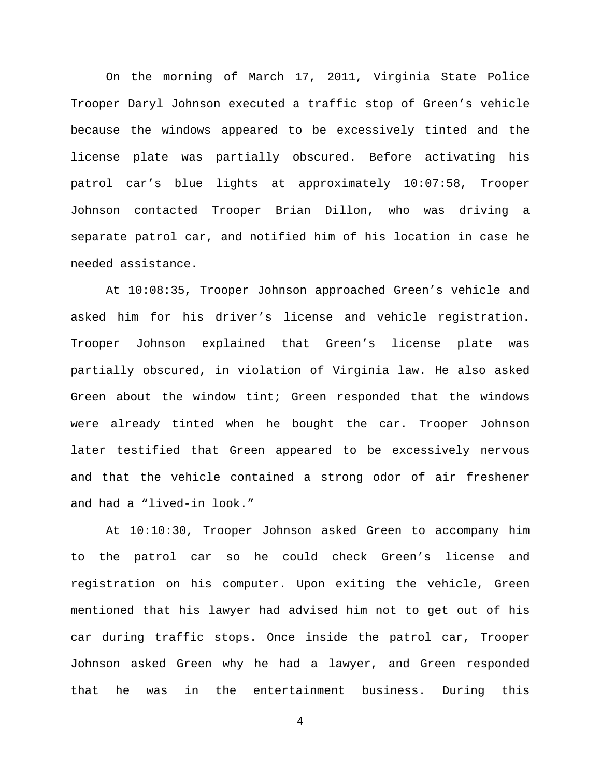On the morning of March 17, 2011, Virginia State Police Trooper Daryl Johnson executed a traffic stop of Green's vehicle because the windows appeared to be excessively tinted and the license plate was partially obscured. Before activating his patrol car's blue lights at approximately 10:07:58, Trooper Johnson contacted Trooper Brian Dillon, who was driving a separate patrol car, and notified him of his location in case he needed assistance.

At 10:08:35, Trooper Johnson approached Green's vehicle and asked him for his driver's license and vehicle registration. Trooper Johnson explained that Green's license plate was partially obscured, in violation of Virginia law. He also asked Green about the window tint; Green responded that the windows were already tinted when he bought the car. Trooper Johnson later testified that Green appeared to be excessively nervous and that the vehicle contained a strong odor of air freshener and had a "lived-in look."

At 10:10:30, Trooper Johnson asked Green to accompany him to the patrol car so he could check Green's license and registration on his computer. Upon exiting the vehicle, Green mentioned that his lawyer had advised him not to get out of his car during traffic stops. Once inside the patrol car, Trooper Johnson asked Green why he had a lawyer, and Green responded that he was in the entertainment business. During this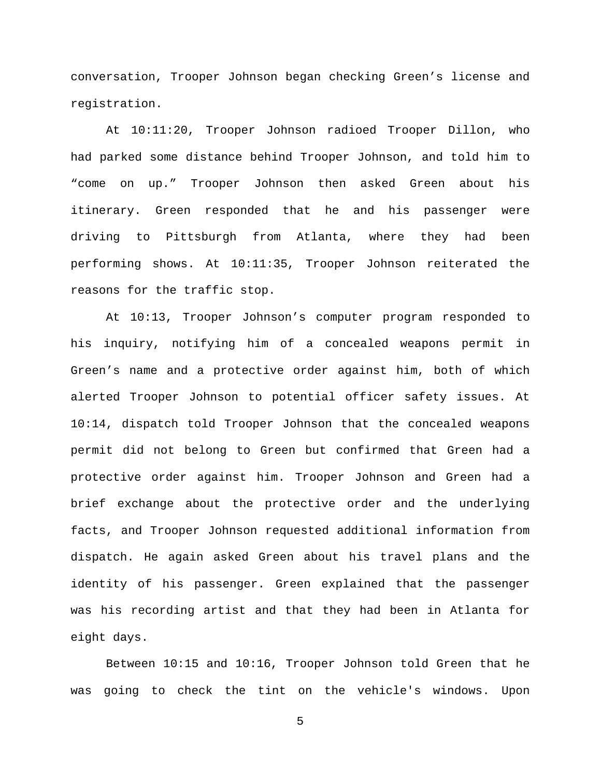conversation, Trooper Johnson began checking Green's license and registration.

At 10:11:20, Trooper Johnson radioed Trooper Dillon, who had parked some distance behind Trooper Johnson, and told him to "come on up." Trooper Johnson then asked Green about his itinerary. Green responded that he and his passenger were driving to Pittsburgh from Atlanta, where they had been performing shows. At 10:11:35, Trooper Johnson reiterated the reasons for the traffic stop.

At 10:13, Trooper Johnson's computer program responded to his inquiry, notifying him of a concealed weapons permit in Green's name and a protective order against him, both of which alerted Trooper Johnson to potential officer safety issues. At 10:14, dispatch told Trooper Johnson that the concealed weapons permit did not belong to Green but confirmed that Green had a protective order against him. Trooper Johnson and Green had a brief exchange about the protective order and the underlying facts, and Trooper Johnson requested additional information from dispatch. He again asked Green about his travel plans and the identity of his passenger. Green explained that the passenger was his recording artist and that they had been in Atlanta for eight days.

Between 10:15 and 10:16, Trooper Johnson told Green that he was going to check the tint on the vehicle's windows. Upon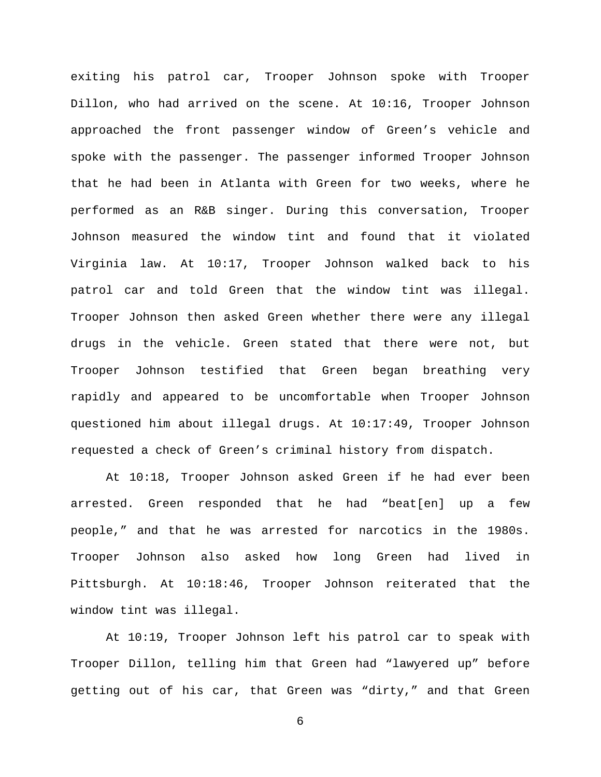exiting his patrol car, Trooper Johnson spoke with Trooper Dillon, who had arrived on the scene. At 10:16, Trooper Johnson approached the front passenger window of Green's vehicle and spoke with the passenger. The passenger informed Trooper Johnson that he had been in Atlanta with Green for two weeks, where he performed as an R&B singer. During this conversation, Trooper Johnson measured the window tint and found that it violated Virginia law. At 10:17, Trooper Johnson walked back to his patrol car and told Green that the window tint was illegal. Trooper Johnson then asked Green whether there were any illegal drugs in the vehicle. Green stated that there were not, but Trooper Johnson testified that Green began breathing very rapidly and appeared to be uncomfortable when Trooper Johnson questioned him about illegal drugs. At 10:17:49, Trooper Johnson requested a check of Green's criminal history from dispatch.

At 10:18, Trooper Johnson asked Green if he had ever been arrested. Green responded that he had "beat[en] up a few people," and that he was arrested for narcotics in the 1980s. Trooper Johnson also asked how long Green had lived in Pittsburgh. At 10:18:46, Trooper Johnson reiterated that the window tint was illegal.

At 10:19, Trooper Johnson left his patrol car to speak with Trooper Dillon, telling him that Green had "lawyered up" before getting out of his car, that Green was "dirty," and that Green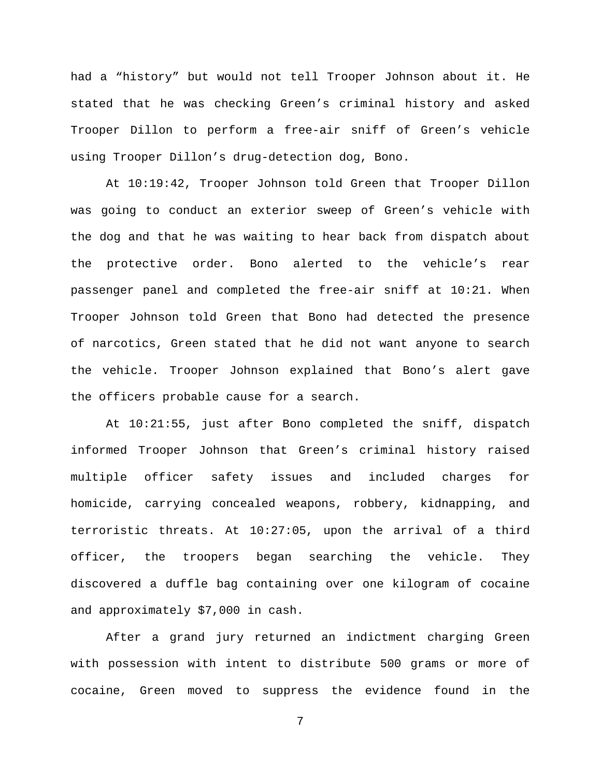had a "history" but would not tell Trooper Johnson about it. He stated that he was checking Green's criminal history and asked Trooper Dillon to perform a free-air sniff of Green's vehicle using Trooper Dillon's drug-detection dog, Bono.

At 10:19:42, Trooper Johnson told Green that Trooper Dillon was going to conduct an exterior sweep of Green's vehicle with the dog and that he was waiting to hear back from dispatch about the protective order. Bono alerted to the vehicle's rear passenger panel and completed the free-air sniff at 10:21. When Trooper Johnson told Green that Bono had detected the presence of narcotics, Green stated that he did not want anyone to search the vehicle. Trooper Johnson explained that Bono's alert gave the officers probable cause for a search.

At 10:21:55, just after Bono completed the sniff, dispatch informed Trooper Johnson that Green's criminal history raised multiple officer safety issues and included charges for homicide, carrying concealed weapons, robbery, kidnapping, and terroristic threats. At 10:27:05, upon the arrival of a third officer, the troopers began searching the vehicle. They discovered a duffle bag containing over one kilogram of cocaine and approximately \$7,000 in cash.

After a grand jury returned an indictment charging Green with possession with intent to distribute 500 grams or more of cocaine, Green moved to suppress the evidence found in the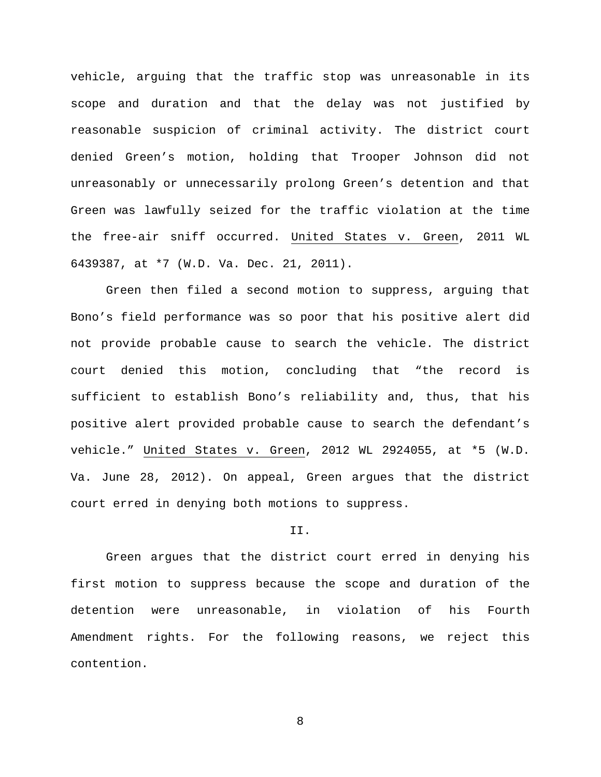vehicle, arguing that the traffic stop was unreasonable in its scope and duration and that the delay was not justified by reasonable suspicion of criminal activity. The district court denied Green's motion, holding that Trooper Johnson did not unreasonably or unnecessarily prolong Green's detention and that Green was lawfully seized for the traffic violation at the time the free-air sniff occurred. United States v. Green, 2011 WL 6439387, at \*7 (W.D. Va. Dec. 21, 2011).

Green then filed a second motion to suppress, arguing that Bono's field performance was so poor that his positive alert did not provide probable cause to search the vehicle. The district court denied this motion, concluding that "the record is sufficient to establish Bono's reliability and, thus, that his positive alert provided probable cause to search the defendant's vehicle." United States v. Green, 2012 WL 2924055, at \*5 (W.D. Va. June 28, 2012). On appeal, Green argues that the district court erred in denying both motions to suppress.

#### II.

Green argues that the district court erred in denying his first motion to suppress because the scope and duration of the detention were unreasonable, in violation of his Fourth Amendment rights. For the following reasons, we reject this contention.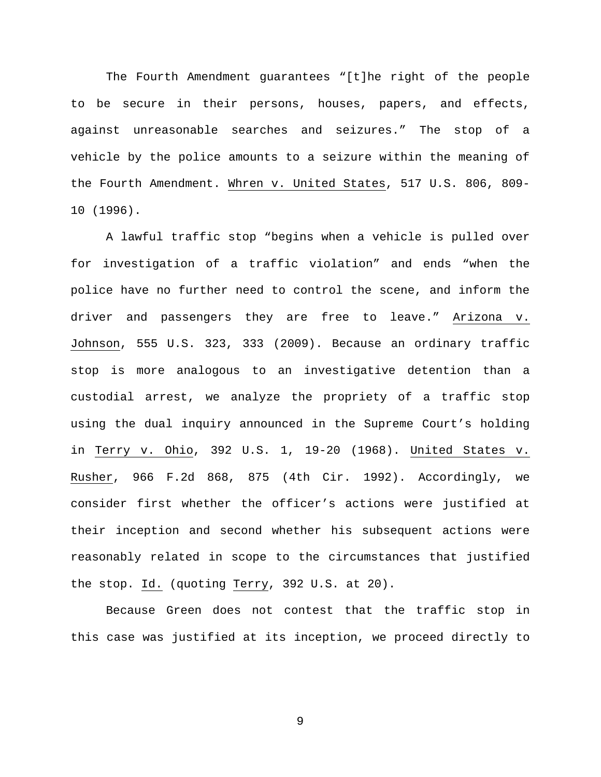The Fourth Amendment guarantees "[t]he right of the people to be secure in their persons, houses, papers, and effects, against unreasonable searches and seizures." The stop of a vehicle by the police amounts to a seizure within the meaning of the Fourth Amendment. Whren v. United States, 517 U.S. 806, 809- 10 (1996).

A lawful traffic stop "begins when a vehicle is pulled over for investigation of a traffic violation" and ends "when the police have no further need to control the scene, and inform the driver and passengers they are free to leave." Arizona v. Johnson, 555 U.S. 323, 333 (2009). Because an ordinary traffic stop is more analogous to an investigative detention than a custodial arrest, we analyze the propriety of a traffic stop using the dual inquiry announced in the Supreme Court's holding in Terry v. Ohio, 392 U.S. 1, 19-20 (1968). United States v. Rusher, 966 F.2d 868, 875 (4th Cir. 1992). Accordingly, we consider first whether the officer's actions were justified at their inception and second whether his subsequent actions were reasonably related in scope to the circumstances that justified the stop. Id. (quoting Terry, 392 U.S. at 20).

Because Green does not contest that the traffic stop in this case was justified at its inception, we proceed directly to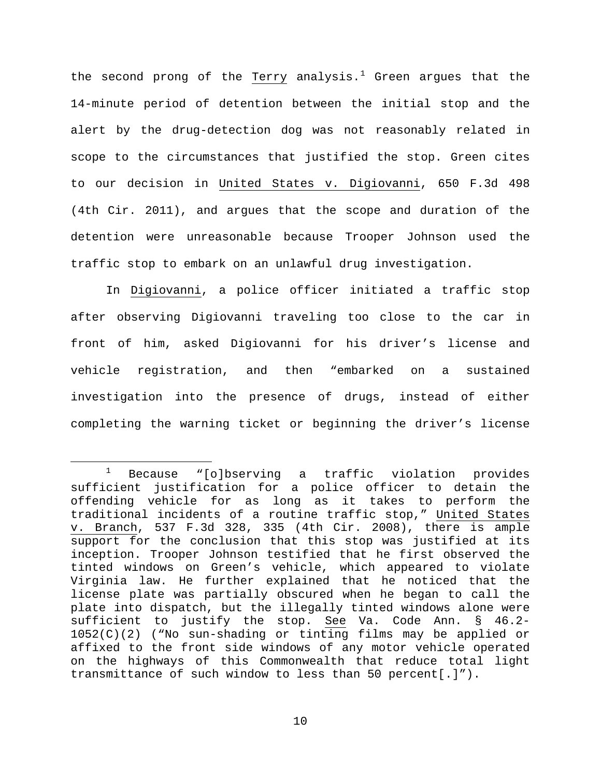the second prong of the Terry analysis.<sup>[1](#page-9-0)</sup> Green argues that the 14-minute period of detention between the initial stop and the alert by the drug-detection dog was not reasonably related in scope to the circumstances that justified the stop. Green cites to our decision in United States v. Digiovanni, 650 F.3d 498 (4th Cir. 2011), and argues that the scope and duration of the detention were unreasonable because Trooper Johnson used the traffic stop to embark on an unlawful drug investigation.

In Digiovanni, a police officer initiated a traffic stop after observing Digiovanni traveling too close to the car in front of him, asked Digiovanni for his driver's license and vehicle registration, and then "embarked on a sustained investigation into the presence of drugs, instead of either completing the warning ticket or beginning the driver's license

<span id="page-9-0"></span> $1$  Because "[o]bserving a traffic violation provides sufficient justification for a police officer to detain the offending vehicle for as long as it takes to perform the traditional incidents of a routine traffic stop," United States v. Branch, 537 F.3d 328, 335 (4th Cir. 2008), there is ample support for the conclusion that this stop was justified at its inception. Trooper Johnson testified that he first observed the tinted windows on Green's vehicle, which appeared to violate Virginia law. He further explained that he noticed that the license plate was partially obscured when he began to call the plate into dispatch, but the illegally tinted windows alone were sufficient to justify the stop. See Va. Code Ann. § 46.2- 1052(C)(2) ("No sun-shading or tinting films may be applied or affixed to the front side windows of any motor vehicle operated on the highways of this Commonwealth that reduce total light transmittance of such window to less than 50 percent[.]").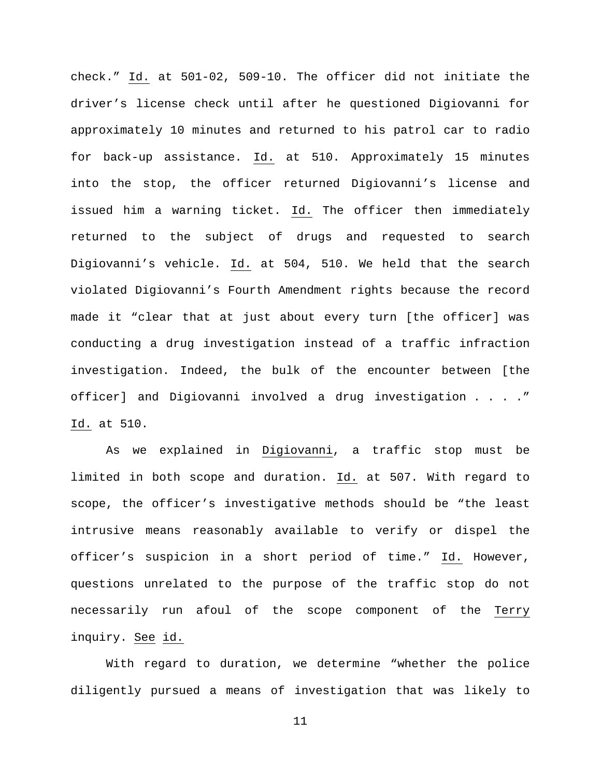check." Id. at 501-02, 509-10. The officer did not initiate the driver's license check until after he questioned Digiovanni for approximately 10 minutes and returned to his patrol car to radio for back-up assistance. Id. at 510. Approximately 15 minutes into the stop, the officer returned Digiovanni's license and issued him a warning ticket. Id. The officer then immediately returned to the subject of drugs and requested to search Digiovanni's vehicle. Id. at 504, 510. We held that the search violated Digiovanni's Fourth Amendment rights because the record made it "clear that at just about every turn [the officer] was conducting a drug investigation instead of a traffic infraction investigation. Indeed, the bulk of the encounter between [the officer] and Digiovanni involved a drug investigation . . . ." Id. at 510.

As we explained in Digiovanni, a traffic stop must be limited in both scope and duration. Id. at 507. With regard to scope, the officer's investigative methods should be "the least intrusive means reasonably available to verify or dispel the officer's suspicion in a short period of time." Id. However, questions unrelated to the purpose of the traffic stop do not necessarily run afoul of the scope component of the Terry inquiry. See id.

With regard to duration, we determine "whether the police diligently pursued a means of investigation that was likely to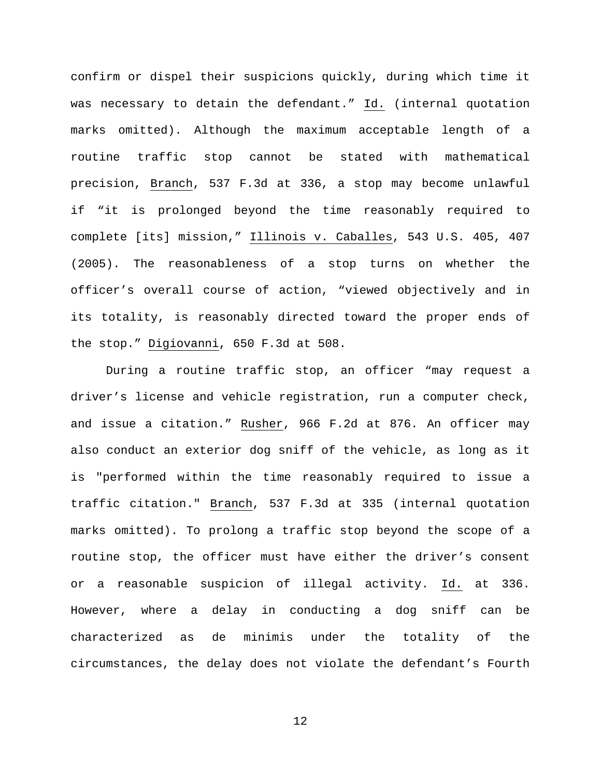confirm or dispel their suspicions quickly, during which time it was necessary to detain the defendant." Id. (internal quotation marks omitted). Although the maximum acceptable length of a routine traffic stop cannot be stated with mathematical precision, Branch, 537 F.3d at 336, a stop may become unlawful if "it is prolonged beyond the time reasonably required to complete [its] mission," Illinois v. Caballes, 543 U.S. 405, 407 (2005). The reasonableness of a stop turns on whether the officer's overall course of action, "viewed objectively and in its totality, is reasonably directed toward the proper ends of the stop." Digiovanni, 650 F.3d at 508.

During a routine traffic stop, an officer "may request a driver's license and vehicle registration, run a computer check, and issue a citation." Rusher, 966 F.2d at 876. An officer may also conduct an exterior dog sniff of the vehicle, as long as it is "performed within the time reasonably required to issue a traffic citation." Branch, 537 F.3d at 335 (internal quotation marks omitted). To prolong a traffic stop beyond the scope of a routine stop, the officer must have either the driver's consent or a reasonable suspicion of illegal activity. Id. at 336. However, where a delay in conducting a dog sniff can be characterized as de minimis under the totality of the circumstances, the delay does not violate the defendant's Fourth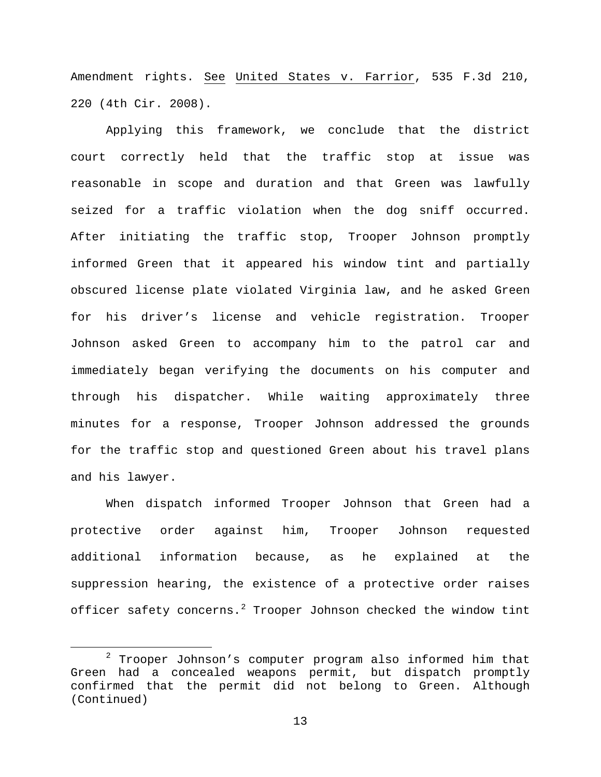Amendment rights. See United States v. Farrior, 535 F.3d 210, 220 (4th Cir. 2008).

Applying this framework, we conclude that the district court correctly held that the traffic stop at issue was reasonable in scope and duration and that Green was lawfully seized for a traffic violation when the dog sniff occurred. After initiating the traffic stop, Trooper Johnson promptly informed Green that it appeared his window tint and partially obscured license plate violated Virginia law, and he asked Green for his driver's license and vehicle registration. Trooper Johnson asked Green to accompany him to the patrol car and immediately began verifying the documents on his computer and through his dispatcher. While waiting approximately three minutes for a response, Trooper Johnson addressed the grounds for the traffic stop and questioned Green about his travel plans and his lawyer.

When dispatch informed Trooper Johnson that Green had a protective order against him, Trooper Johnson requested additional information because, as he explained at the suppression hearing, the existence of a protective order raises officer safety concerns.<sup>[2](#page-12-0)</sup> Trooper Johnson checked the window tint

<span id="page-12-0"></span> $2$  Trooper Johnson's computer program also informed him that Green had a concealed weapons permit, but dispatch promptly confirmed that the permit did not belong to Green. Although (Continued)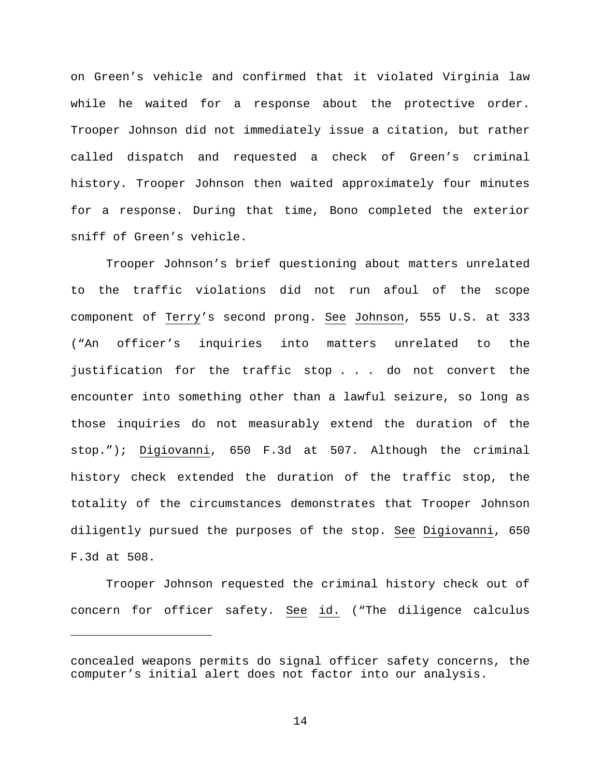on Green's vehicle and confirmed that it violated Virginia law while he waited for a response about the protective order. Trooper Johnson did not immediately issue a citation, but rather called dispatch and requested a check of Green's criminal history. Trooper Johnson then waited approximately four minutes for a response. During that time, Bono completed the exterior sniff of Green's vehicle.

Trooper Johnson's brief questioning about matters unrelated to the traffic violations did not run afoul of the scope component of Terry's second prong. See Johnson, 555 U.S. at 333 ("An officer's inquiries into matters unrelated to the justification for the traffic stop . . . do not convert the encounter into something other than a lawful seizure, so long as those inquiries do not measurably extend the duration of the stop."); Digiovanni, 650 F.3d at 507. Although the criminal history check extended the duration of the traffic stop, the totality of the circumstances demonstrates that Trooper Johnson diligently pursued the purposes of the stop. See Digiovanni, 650 F.3d at 508.

Trooper Johnson requested the criminal history check out of concern for officer safety. See id. ("The diligence calculus

Ĩ.

concealed weapons permits do signal officer safety concerns, the computer's initial alert does not factor into our analysis.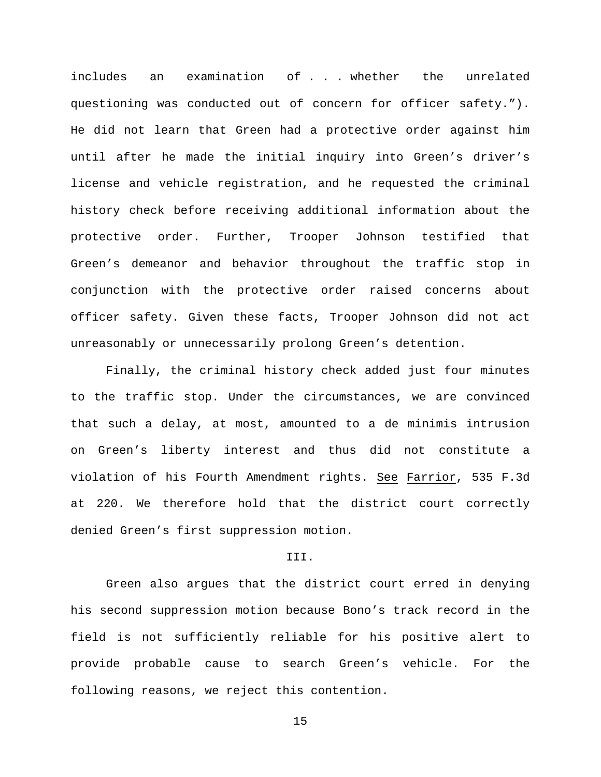includes an examination of . . . whether the unrelated questioning was conducted out of concern for officer safety."). He did not learn that Green had a protective order against him until after he made the initial inquiry into Green's driver's license and vehicle registration, and he requested the criminal history check before receiving additional information about the protective order. Further, Trooper Johnson testified that Green's demeanor and behavior throughout the traffic stop in conjunction with the protective order raised concerns about officer safety. Given these facts, Trooper Johnson did not act unreasonably or unnecessarily prolong Green's detention.

Finally, the criminal history check added just four minutes to the traffic stop. Under the circumstances, we are convinced that such a delay, at most, amounted to a de minimis intrusion on Green's liberty interest and thus did not constitute a violation of his Fourth Amendment rights. See Farrior, 535 F.3d at 220. We therefore hold that the district court correctly denied Green's first suppression motion.

# III.

Green also argues that the district court erred in denying his second suppression motion because Bono's track record in the field is not sufficiently reliable for his positive alert to provide probable cause to search Green's vehicle. For the following reasons, we reject this contention.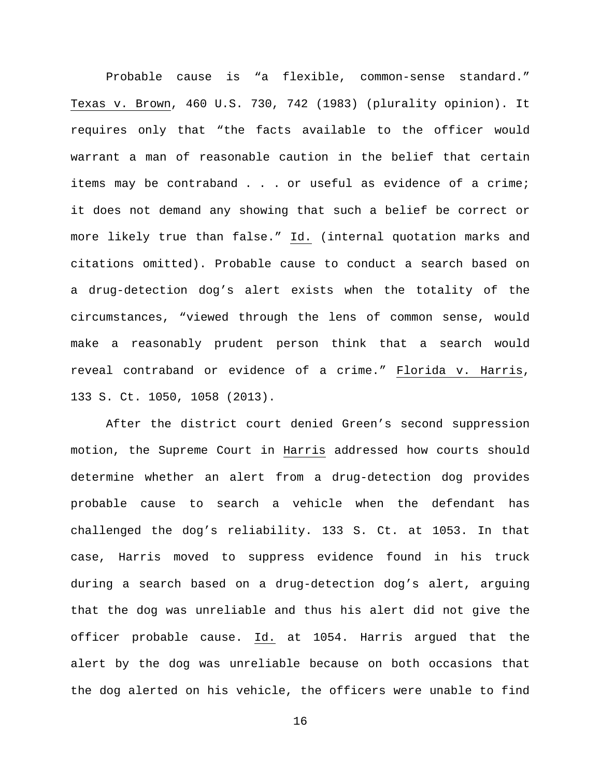Probable cause is "a flexible, common-sense standard." Texas v. Brown, 460 U.S. 730, 742 (1983) (plurality opinion). It requires only that "the facts available to the officer would warrant a man of reasonable caution in the belief that certain items may be contraband . . . or useful as evidence of a crime; it does not demand any showing that such a belief be correct or more likely true than false." Id. (internal quotation marks and citations omitted). Probable cause to conduct a search based on a drug-detection dog's alert exists when the totality of the circumstances, "viewed through the lens of common sense, would make a reasonably prudent person think that a search would reveal contraband or evidence of a crime." Florida v. Harris, 133 S. Ct. 1050, 1058 (2013).

After the district court denied Green's second suppression motion, the Supreme Court in Harris addressed how courts should determine whether an alert from a drug-detection dog provides probable cause to search a vehicle when the defendant has challenged the dog's reliability. 133 S. Ct. at 1053. In that case, Harris moved to suppress evidence found in his truck during a search based on a drug-detection dog's alert, arguing that the dog was unreliable and thus his alert did not give the officer probable cause. Id. at 1054. Harris argued that the alert by the dog was unreliable because on both occasions that the dog alerted on his vehicle, the officers were unable to find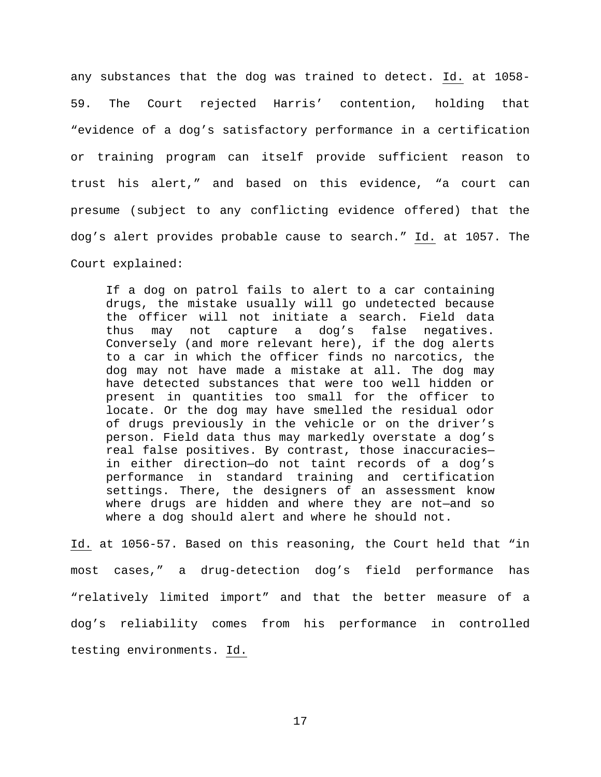any substances that the dog was trained to detect. Id. at 1058- 59. The Court rejected Harris' contention, holding that "evidence of a dog's satisfactory performance in a certification or training program can itself provide sufficient reason to trust his alert," and based on this evidence, "a court can presume (subject to any conflicting evidence offered) that the dog's alert provides probable cause to search." Id. at 1057. The Court explained:

If a dog on patrol fails to alert to a car containing drugs, the mistake usually will go undetected because the officer will not initiate a search. Field data thus may not capture a dog's false negatives. Conversely (and more relevant here), if the dog alerts to a car in which the officer finds no narcotics, the dog may not have made a mistake at all. The dog may have detected substances that were too well hidden or present in quantities too small for the officer to locate. Or the dog may have smelled the residual odor of drugs previously in the vehicle or on the driver's person. Field data thus may markedly overstate a dog's real false positives. By contrast, those inaccuracies in either direction—do not taint records of a dog's performance in standard training and certification settings. There, the designers of an assessment know where drugs are hidden and where they are not—and so where a dog should alert and where he should not.

Id. at 1056-57. Based on this reasoning, the Court held that "in most cases," a drug-detection dog's field performance has "relatively limited import" and that the better measure of a dog's reliability comes from his performance in controlled testing environments. Id.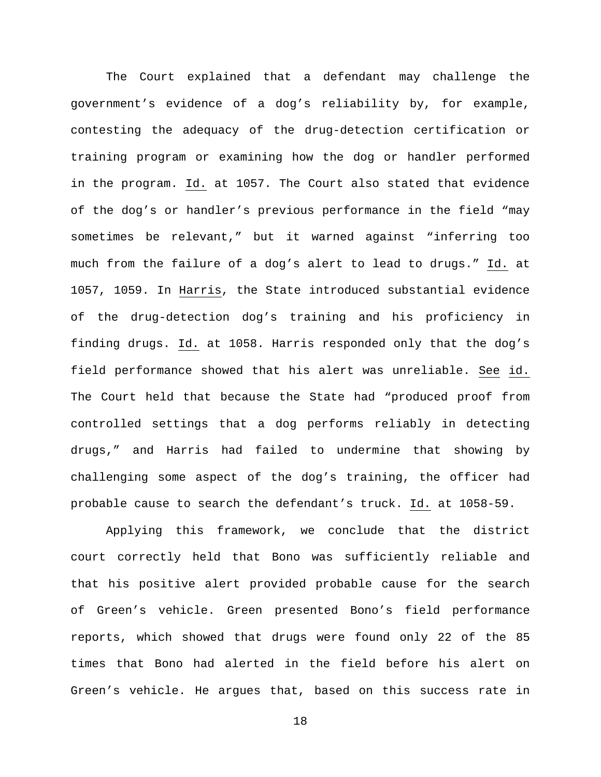The Court explained that a defendant may challenge the government's evidence of a dog's reliability by, for example, contesting the adequacy of the drug-detection certification or training program or examining how the dog or handler performed in the program. Id. at 1057. The Court also stated that evidence of the dog's or handler's previous performance in the field "may sometimes be relevant," but it warned against "inferring too much from the failure of a dog's alert to lead to drugs." Id. at 1057, 1059. In Harris, the State introduced substantial evidence of the drug-detection dog's training and his proficiency in finding drugs. Id. at 1058. Harris responded only that the dog's field performance showed that his alert was unreliable. See id. The Court held that because the State had "produced proof from controlled settings that a dog performs reliably in detecting drugs," and Harris had failed to undermine that showing by challenging some aspect of the dog's training, the officer had probable cause to search the defendant's truck. Id. at 1058-59.

Applying this framework, we conclude that the district court correctly held that Bono was sufficiently reliable and that his positive alert provided probable cause for the search of Green's vehicle. Green presented Bono's field performance reports, which showed that drugs were found only 22 of the 85 times that Bono had alerted in the field before his alert on Green's vehicle. He argues that, based on this success rate in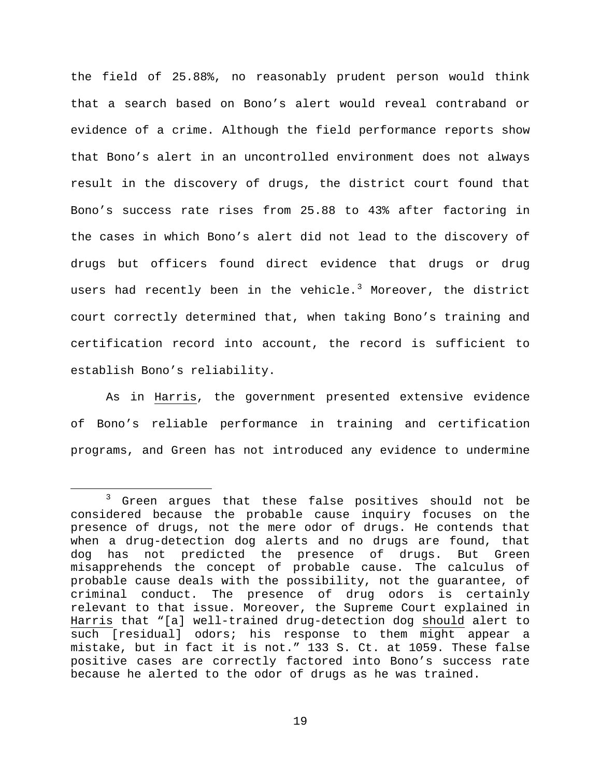the field of 25.88%, no reasonably prudent person would think that a search based on Bono's alert would reveal contraband or evidence of a crime. Although the field performance reports show that Bono's alert in an uncontrolled environment does not always result in the discovery of drugs, the district court found that Bono's success rate rises from 25.88 to 43% after factoring in the cases in which Bono's alert did not lead to the discovery of drugs but officers found direct evidence that drugs or drug users had recently been in the vehicle.<sup>[3](#page-18-0)</sup> Moreover, the district court correctly determined that, when taking Bono's training and certification record into account, the record is sufficient to establish Bono's reliability.

As in Harris, the government presented extensive evidence of Bono's reliable performance in training and certification programs, and Green has not introduced any evidence to undermine

<span id="page-18-0"></span> <sup>3</sup> Green argues that these false positives should not be considered because the probable cause inquiry focuses on the presence of drugs, not the mere odor of drugs. He contends that when a drug-detection dog alerts and no drugs are found, that dog has not predicted the presence of drugs. But Green misapprehends the concept of probable cause. The calculus of probable cause deals with the possibility, not the guarantee, of criminal conduct. The presence of drug odors is certainly relevant to that issue. Moreover, the Supreme Court explained in Harris that "[a] well-trained drug-detection dog should alert to such [residual] odors; his response to them might appear a mistake, but in fact it is not." 133 S. Ct. at 1059. These false positive cases are correctly factored into Bono's success rate because he alerted to the odor of drugs as he was trained.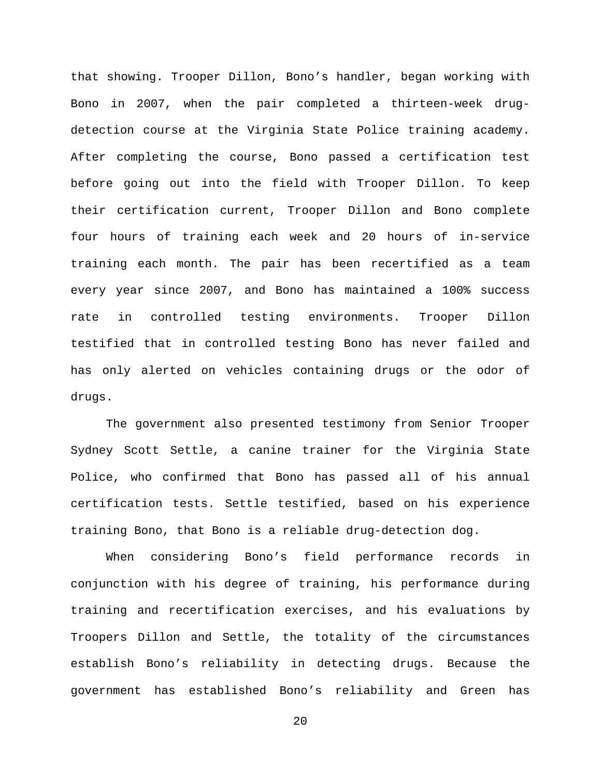that showing. Trooper Dillon, Bono's handler, began working with Bono in 2007, when the pair completed a thirteen-week drugdetection course at the Virginia State Police training academy. After completing the course, Bono passed a certification test before going out into the field with Trooper Dillon. To keep their certification current, Trooper Dillon and Bono complete four hours of training each week and 20 hours of in-service training each month. The pair has been recertified as a team every year since 2007, and Bono has maintained a 100% success rate in controlled testing environments. Trooper Dillon testified that in controlled testing Bono has never failed and has only alerted on vehicles containing drugs or the odor of drugs.

The government also presented testimony from Senior Trooper Sydney Scott Settle, a canine trainer for the Virginia State Police, who confirmed that Bono has passed all of his annual certification tests. Settle testified, based on his experience training Bono, that Bono is a reliable drug-detection dog.

When considering Bono's field performance records in conjunction with his degree of training, his performance during training and recertification exercises, and his evaluations by Troopers Dillon and Settle, the totality of the circumstances establish Bono's reliability in detecting drugs. Because the government has established Bono's reliability and Green has